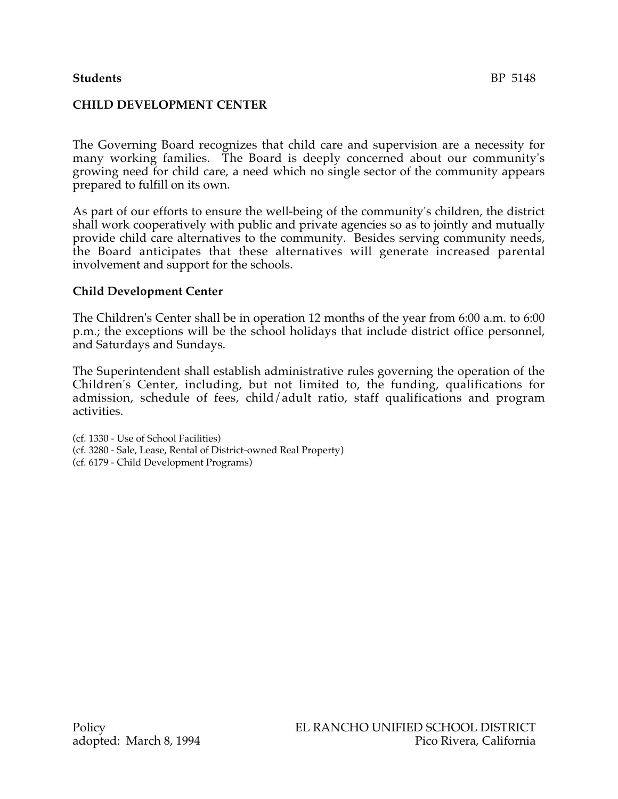# **Students** BP 5148

# **CHILD DEVELOPMENT CENTER**

The Governing Board recognizes that child care and supervision are a necessity for many working families. The Board is deeply concerned about our community's growing need for child care, a need which no single sector of the community appears prepared to fulfill on its own.

As part of our efforts to ensure the well-being of the community's children, the district shall work cooperatively with public and private agencies so as to jointly and mutually provide child care alternatives to the community. Besides serving community needs, the Board anticipates that these alternatives will generate increased parental involvement and support for the schools.

#### **Child Development Center**

The Children's Center shall be in operation 12 months of the year from 6:00 a.m. to 6:00 p.m.; the exceptions will be the school holidays that include district office personnel, and Saturdays and Sundays.

The Superintendent shall establish administrative rules governing the operation of the Children's Center, including, but not limited to, the funding, qualifications for admission, schedule of fees, child/adult ratio, staff qualifications and program activities.

(cf. 1330 - Use of School Facilities) (cf. 3280 - Sale, Lease, Rental of District-owned Real Property) (cf. 6179 - Child Development Programs)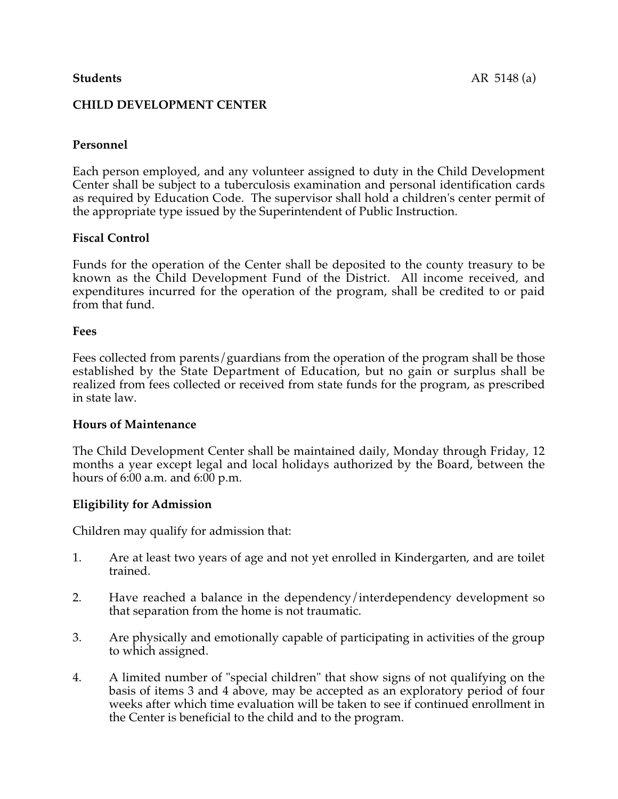# **CHILD DEVELOPMENT CENTER**

# **Personnel**

Each person employed, and any volunteer assigned to duty in the Child Development Center shall be subject to a tuberculosis examination and personal identification cards as required by Education Code. The supervisor shall hold a children's center permit of the appropriate type issued by the Superintendent of Public Instruction.

# **Fiscal Control**

Funds for the operation of the Center shall be deposited to the county treasury to be known as the Child Development Fund of the District. All income received, and expenditures incurred for the operation of the program, shall be credited to or paid from that fund.

#### **Fees**

Fees collected from parents/guardians from the operation of the program shall be those established by the State Department of Education, but no gain or surplus shall be realized from fees collected or received from state funds for the program, as prescribed in state law.

#### **Hours of Maintenance**

The Child Development Center shall be maintained daily, Monday through Friday, 12 months a year except legal and local holidays authorized by the Board, between the hours of 6:00 a.m. and 6:00 p.m.

# **Eligibility for Admission**

Children may qualify for admission that:

- 1. Are at least two years of age and not yet enrolled in Kindergarten, and are toilet trained.
- 2. Have reached a balance in the dependency/interdependency development so that separation from the home is not traumatic.
- 3. Are physically and emotionally capable of participating in activities of the group to which assigned.
- 4. A limited number of "special children" that show signs of not qualifying on the basis of items 3 and 4 above, may be accepted as an exploratory period of four weeks after which time evaluation will be taken to see if continued enrollment in the Center is beneficial to the child and to the program.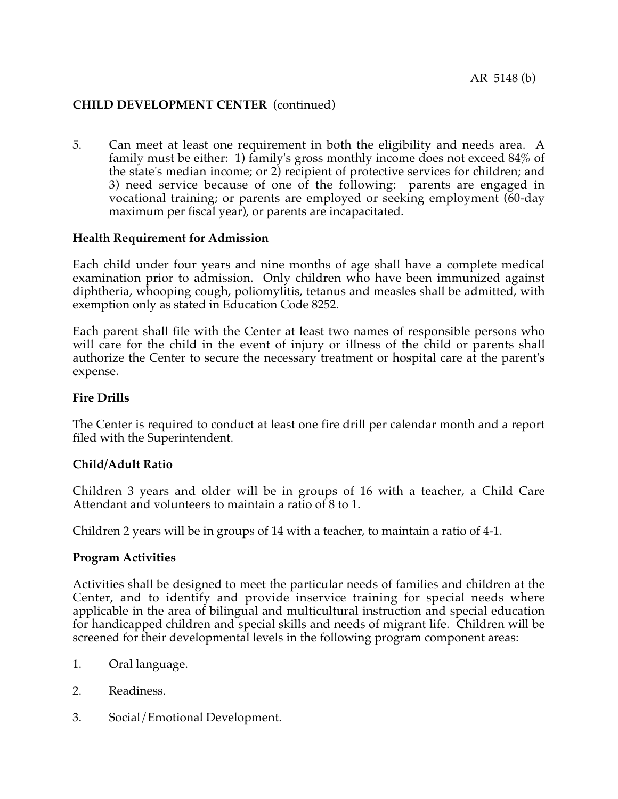# **CHILD DEVELOPMENT CENTER** (continued)

5. Can meet at least one requirement in both the eligibility and needs area. A family must be either: 1) family's gross monthly income does not exceed 84% of the state's median income; or 2) recipient of protective services for children; and 3) need service because of one of the following: parents are engaged in vocational training; or parents are employed or seeking employment (60-day maximum per fiscal year), or parents are incapacitated.

## **Health Requirement for Admission**

Each child under four years and nine months of age shall have a complete medical examination prior to admission. Only children who have been immunized against diphtheria, whooping cough, poliomylitis, tetanus and measles shall be admitted, with exemption only as stated in Education Code 8252.

Each parent shall file with the Center at least two names of responsible persons who will care for the child in the event of injury or illness of the child or parents shall authorize the Center to secure the necessary treatment or hospital care at the parent's expense.

#### **Fire Drills**

The Center is required to conduct at least one fire drill per calendar month and a report filed with the Superintendent.

#### **Child/Adult Ratio**

Children 3 years and older will be in groups of 16 with a teacher, a Child Care Attendant and volunteers to maintain a ratio of 8 to 1.

Children 2 years will be in groups of 14 with a teacher, to maintain a ratio of 4-1.

#### **Program Activities**

Activities shall be designed to meet the particular needs of families and children at the Center, and to identify and provide inservice training for special needs where applicable in the area of bilingual and multicultural instruction and special education for handicapped children and special skills and needs of migrant life. Children will be screened for their developmental levels in the following program component areas:

- 1. Oral language.
- 2. Readiness.
- 3. Social/Emotional Development.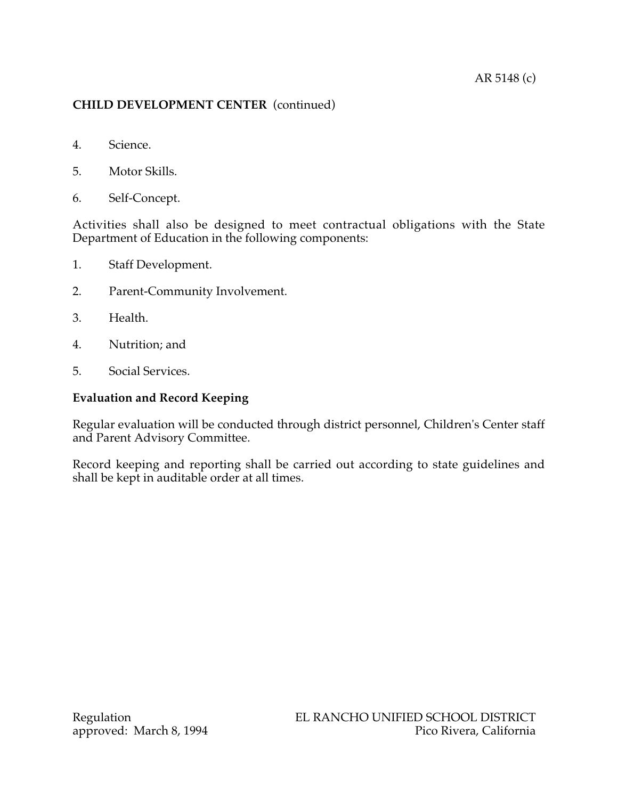# AR 5148 (c)

# **CHILD DEVELOPMENT CENTER** (continued)

- 4. Science.
- 5. Motor Skills.
- 6. Self-Concept.

Activities shall also be designed to meet contractual obligations with the State Department of Education in the following components:

- 1. Staff Development.
- 2. Parent-Community Involvement.
- 3. Health.
- 4. Nutrition; and
- 5. Social Services.

# **Evaluation and Record Keeping**

Regular evaluation will be conducted through district personnel, Children's Center staff and Parent Advisory Committee.

Record keeping and reporting shall be carried out according to state guidelines and shall be kept in auditable order at all times.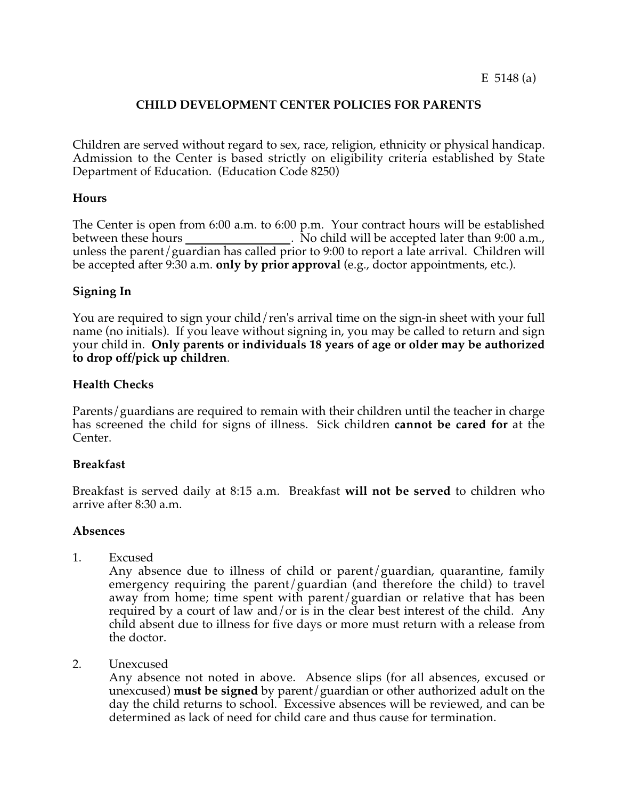# **CHILD DEVELOPMENT CENTER POLICIES FOR PARENTS**

Children are served without regard to sex, race, religion, ethnicity or physical handicap. Admission to the Center is based strictly on eligibility criteria established by State Department of Education. (Education Code 8250)

## **Hours**

The Center is open from 6:00 a.m. to 6:00 p.m. Your contract hours will be established between these hours . No child will be accepted later than 9:00 a.m., unless the parent/guardian has called prior to 9:00 to report a late arrival. Children will be accepted after 9:30 a.m. **only by prior approval** (e.g., doctor appointments, etc.).

## **Signing In**

You are required to sign your child/ren's arrival time on the sign-in sheet with your full name (no initials). If you leave without signing in, you may be called to return and sign your child in. **Only parents or individuals 18 years of age or older may be authorized to drop off/pick up children**.

## **Health Checks**

Parents/guardians are required to remain with their children until the teacher in charge has screened the child for signs of illness. Sick children **cannot be cared for** at the Center.

#### **Breakfast**

Breakfast is served daily at 8:15 a.m. Breakfast **will not be served** to children who arrive after 8:30 a.m.

#### **Absences**

1. Excused

Any absence due to illness of child or parent/guardian, quarantine, family emergency requiring the parent/guardian (and therefore the child) to travel away from home; time spent with parent/guardian or relative that has been required by a court of law and/or is in the clear best interest of the child. Any child absent due to illness for five days or more must return with a release from the doctor.

2. Unexcused

Any absence not noted in above. Absence slips (for all absences, excused or unexcused) **must be signed** by parent/guardian or other authorized adult on the day the child returns to school. Excessive absences will be reviewed, and can be determined as lack of need for child care and thus cause for termination.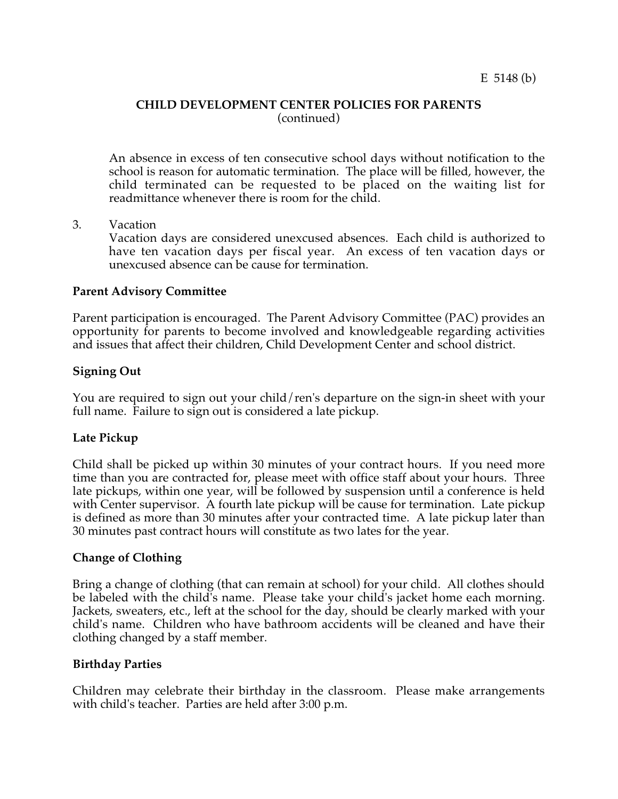#### **CHILD DEVELOPMENT CENTER POLICIES FOR PARENTS** (continued)

An absence in excess of ten consecutive school days without notification to the school is reason for automatic termination. The place will be filled, however, the child terminated can be requested to be placed on the waiting list for readmittance whenever there is room for the child.

3. Vacation

Vacation days are considered unexcused absences. Each child is authorized to have ten vacation days per fiscal year. An excess of ten vacation days or unexcused absence can be cause for termination.

## **Parent Advisory Committee**

Parent participation is encouraged. The Parent Advisory Committee (PAC) provides an opportunity for parents to become involved and knowledgeable regarding activities and issues that affect their children, Child Development Center and school district.

## **Signing Out**

You are required to sign out your child/ren's departure on the sign-in sheet with your full name. Failure to sign out is considered a late pickup.

#### **Late Pickup**

Child shall be picked up within 30 minutes of your contract hours. If you need more time than you are contracted for, please meet with office staff about your hours. Three late pickups, within one year, will be followed by suspension until a conference is held with Center supervisor. A fourth late pickup will be cause for termination. Late pickup is defined as more than 30 minutes after your contracted time. A late pickup later than 30 minutes past contract hours will constitute as two lates for the year.

# **Change of Clothing**

Bring a change of clothing (that can remain at school) for your child. All clothes should be labeled with the child's name. Please take your child's jacket home each morning. Jackets, sweaters, etc., left at the school for the day, should be clearly marked with your child's name. Children who have bathroom accidents will be cleaned and have their clothing changed by a staff member.

#### **Birthday Parties**

Children may celebrate their birthday in the classroom. Please make arrangements with child's teacher. Parties are held after 3:00 p.m.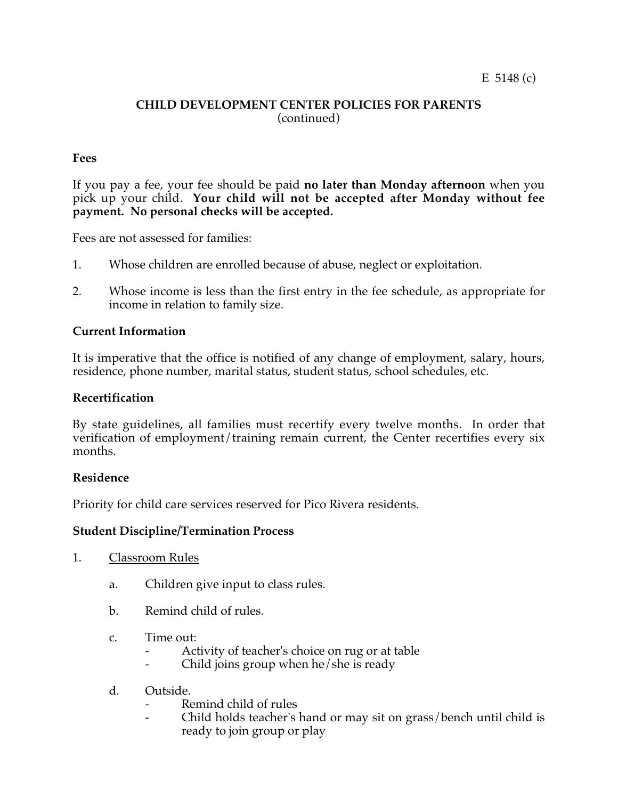## **CHILD DEVELOPMENT CENTER POLICIES FOR PARENTS** (continued)

# **Fees**

If you pay a fee, your fee should be paid **no later than Monday afternoon** when you pick up your child. **Your child will not be accepted after Monday without fee payment. No personal checks will be accepted.**

Fees are not assessed for families:

- 1. Whose children are enrolled because of abuse, neglect or exploitation.
- 2. Whose income is less than the first entry in the fee schedule, as appropriate for income in relation to family size.

#### **Current Information**

It is imperative that the office is notified of any change of employment, salary, hours, residence, phone number, marital status, student status, school schedules, etc.

#### **Recertification**

By state guidelines, all families must recertify every twelve months. In order that verification of employment/training remain current, the Center recertifies every six months.

#### **Residence**

Priority for child care services reserved for Pico Rivera residents.

#### **Student Discipline/Termination Process**

- 1. Classroom Rules
	- a. Children give input to class rules.
	- b. Remind child of rules.
	- c. Time out:
		- Activity of teacher's choice on rug or at table
		- Child joins group when  $he/she$  is ready
	- d. Outside.
		- Remind child of rules
		- Child holds teacher's hand or may sit on grass/bench until child is ready to join group or play